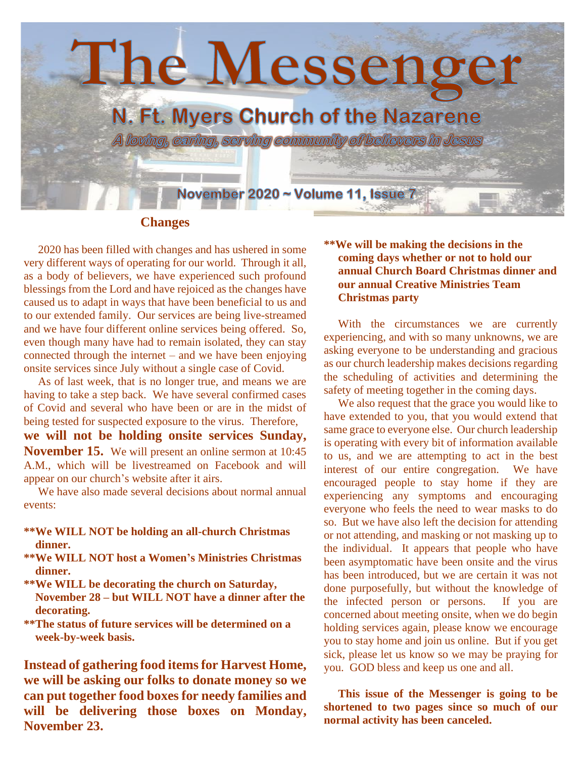

## **Changes**

 2020 has been filled with changes and has ushered in some very different ways of operating for our world. Through it all, as a body of believers, we have experienced such profound blessings from the Lord and have rejoiced as the changes have caused us to adapt in ways that have been beneficial to us and to our extended family. Our services are being live-streamed and we have four different online services being offered. So, even though many have had to remain isolated, they can stay connected through the internet – and we have been enjoying onsite services since July without a single case of Covid.

 As of last week, that is no longer true, and means we are having to take a step back. We have several confirmed cases of Covid and several who have been or are in the midst of being tested for suspected exposure to the virus. Therefore,

**we will not be holding onsite services Sunday, November 15.** We will present an online sermon at 10:45 A.M., which will be livestreamed on Facebook and will appear on our church's website after it airs.

We have also made several decisions about normal annual events:

- **\*\*We WILL NOT be holding an all-church Christmas dinner.**
- **\*\*We WILL NOT host a Women's Ministries Christmas dinner.**
- **\*\*We WILL be decorating the church on Saturday, November 28 – but WILL NOT have a dinner after the decorating.**
- **\*\*The status of future services will be determined on a week-by-week basis.**

**Instead of gathering food items for Harvest Home, we will be asking our folks to donate money so we can put together food boxes for needy families and will be delivering those boxes on Monday, November 23.**

## **\*\*We will be making the decisions in the coming days whether or not to hold our annual Church Board Christmas dinner and our annual Creative Ministries Team Christmas party**

With the circumstances we are currently experiencing, and with so many unknowns, we are asking everyone to be understanding and gracious as our church leadership makes decisions regarding the scheduling of activities and determining the safety of meeting together in the coming days.

 We also request that the grace you would like to have extended to you, that you would extend that same grace to everyone else. Our church leadership is operating with every bit of information available to us, and we are attempting to act in the best interest of our entire congregation. We have encouraged people to stay home if they are experiencing any symptoms and encouraging everyone who feels the need to wear masks to do so. But we have also left the decision for attending or not attending, and masking or not masking up to the individual. It appears that people who have been asymptomatic have been onsite and the virus has been introduced, but we are certain it was not done purposefully, but without the knowledge of the infected person or persons. If you are concerned about meeting onsite, when we do begin holding services again, please know we encourage you to stay home and join us online. But if you get sick, please let us know so we may be praying for you. GOD bless and keep us one and all.

 **This issue of the Messenger is going to be shortened to two pages since so much of our normal activity has been canceled.**